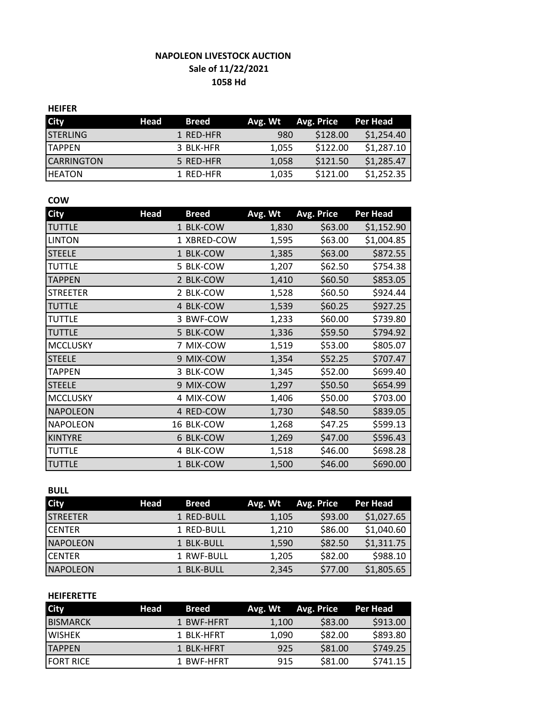# **NAPOLEON LIVESTOCK AUCTION Sale of 11/22/2021 1058 Hd**

#### **HEIFER**

| <b>City</b>       | Head | <b>Breed</b> | Avg. Wt | Avg. Price | Per Head   |
|-------------------|------|--------------|---------|------------|------------|
| <b>STERLING</b>   |      | 1 RED-HFR    | 980     | \$128.00   | \$1,254.40 |
| <b>ITAPPEN</b>    |      | 3 BLK-HFR    | 1.055   | \$122.00   | \$1,287.10 |
| <b>CARRINGTON</b> |      | 5 RED-HFR    | 1,058   | \$121.50   | \$1,285.47 |
| <b>IHEATON</b>    |      | 1 RED-HFR    | 1,035   | \$121.00   | \$1,252.35 |

### **COW**

| <b>City</b>     | <b>Head</b> | <b>Breed</b> | Avg. Wt | <b>Avg. Price</b> | <b>Per Head</b> |
|-----------------|-------------|--------------|---------|-------------------|-----------------|
| <b>TUTTLE</b>   |             | 1 BLK-COW    | 1,830   | \$63.00           | \$1,152.90      |
| <b>LINTON</b>   |             | 1 XBRED-COW  | 1,595   | \$63.00           | \$1,004.85      |
| <b>STEELE</b>   |             | 1 BLK-COW    | 1,385   | \$63.00           | \$872.55        |
| <b>TUTTLE</b>   |             | 5 BLK-COW    | 1,207   | \$62.50           | \$754.38        |
| <b>TAPPEN</b>   |             | 2 BLK-COW    | 1,410   | \$60.50           | \$853.05        |
| <b>STREETER</b> |             | 2 BLK-COW    | 1,528   | \$60.50           | \$924.44        |
| <b>TUTTLE</b>   |             | 4 BLK-COW    | 1,539   | \$60.25           | \$927.25        |
| <b>TUTTLE</b>   |             | 3 BWF-COW    | 1,233   | \$60.00           | \$739.80        |
| <b>TUTTLE</b>   |             | 5 BLK-COW    | 1,336   | \$59.50           | \$794.92        |
| <b>MCCLUSKY</b> |             | 7 MIX-COW    | 1,519   | \$53.00           | \$805.07        |
| <b>STEELE</b>   |             | 9 MIX-COW    | 1,354   | \$52.25           | \$707.47        |
| <b>TAPPEN</b>   |             | 3 BLK-COW    | 1,345   | \$52.00           | \$699.40        |
| <b>STEELE</b>   |             | 9 MIX-COW    | 1,297   | \$50.50           | \$654.99        |
| <b>MCCLUSKY</b> |             | 4 MIX-COW    | 1,406   | \$50.00           | \$703.00        |
| <b>NAPOLEON</b> |             | 4 RED-COW    | 1,730   | \$48.50           | \$839.05        |
| <b>NAPOLEON</b> |             | 16 BLK-COW   | 1,268   | \$47.25           | \$599.13        |
| <b>KINTYRE</b>  |             | 6 BLK-COW    | 1,269   | \$47.00           | \$596.43        |
| <b>TUTTLE</b>   |             | 4 BLK-COW    | 1,518   | \$46.00           | \$698.28        |
| <b>TUTTLE</b>   |             | 1 BLK-COW    | 1,500   | \$46.00           | \$690.00        |

## **BULL**

| <b>City</b>      | Head | <b>Breed</b> | Avg. Wt | Avg. Price | Per Head   |
|------------------|------|--------------|---------|------------|------------|
| <b>ISTREETER</b> |      | 1 RED-BULL   | 1.105   | \$93.00    | \$1,027.65 |
| <b>ICENTER</b>   |      | 1 RED-BULL   | 1,210   | \$86.00    | \$1,040.60 |
| <b>NAPOLEON</b>  |      | 1 BLK-BULL   | 1,590   | \$82.50    | \$1,311.75 |
| ICENTER          |      | 1 RWF-BULL   | 1,205   | \$82.00    | \$988.10   |
| <b>NAPOLEON</b>  |      | 1 BLK-BULL   | 2,345   | \$77.00    | \$1,805.65 |

### **HEIFERETTE**

| <b>City</b>       | Head | <b>Breed</b> | Avg. Wt | Avg. Price | Per Head |
|-------------------|------|--------------|---------|------------|----------|
| <b>BISMARCK</b>   |      | 1 BWF-HFRT   | 1.100   | \$83.00    | \$913.00 |
| <b>LWISHEK</b>    |      | 1 BLK-HFRT   | 1.090   | \$82.00    | \$893.80 |
| <b>TAPPEN</b>     |      | 1 BLK-HFRT   | 925     | \$81.00    | \$749.25 |
| <b>IFORT RICE</b> |      | 1 BWF-HFRT   | 915     | \$81.00    | \$741.15 |